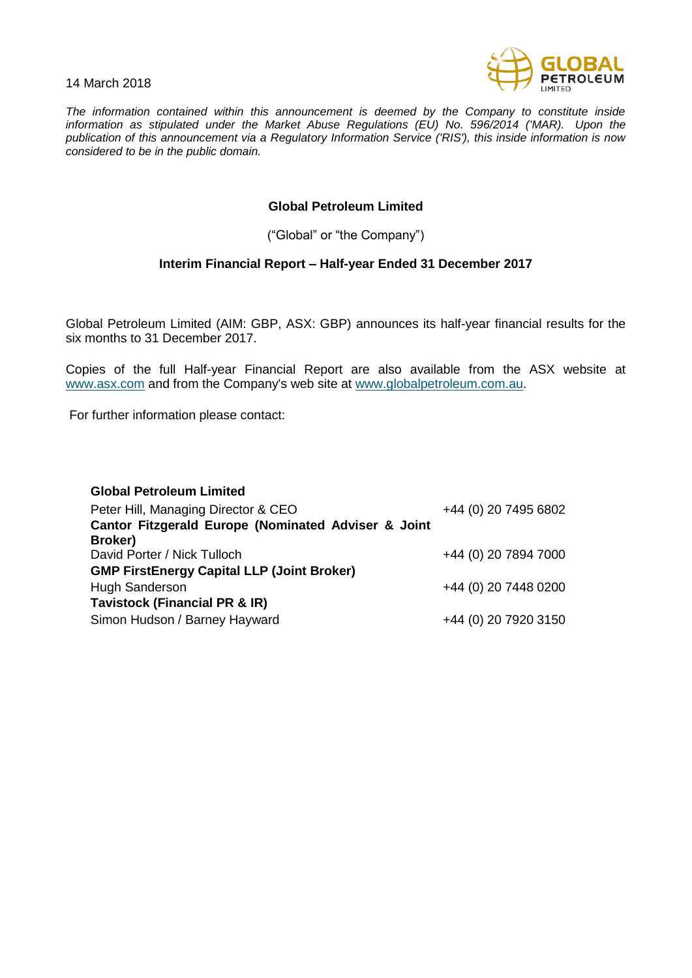14 March 2018



*The information contained within this announcement is deemed by the Company to constitute inside information as stipulated under the Market Abuse Regulations (EU) No. 596/2014 ('MAR). Upon the publication of this announcement via a Regulatory Information Service ('RIS'), this inside information is now considered to be in the public domain.*

## **Global Petroleum Limited**

("Global" or "the Company")

## **Interim Financial Report – Half-year Ended 31 December 2017**

Global Petroleum Limited (AIM: GBP, ASX: GBP) announces its half-year financial results for the six months to 31 December 2017.

Copies of the full Half-year Financial Report are also available from the ASX website at [www.asx.com](http://www.asx.com/) and from the Company's web site at [www.globalpetroleum.com.au.](http://www.globalpetroleum.com.au/)

For further information please contact:

| <b>Global Petroleum Limited</b><br>Peter Hill, Managing Director & CEO<br>Cantor Fitzgerald Europe (Nominated Adviser & Joint | +44 (0) 20 7495 6802 |
|-------------------------------------------------------------------------------------------------------------------------------|----------------------|
| Broker)<br>David Porter / Nick Tulloch<br><b>GMP FirstEnergy Capital LLP (Joint Broker)</b>                                   | +44 (0) 20 7894 7000 |
| <b>Hugh Sanderson</b><br><b>Tavistock (Financial PR &amp; IR)</b>                                                             | +44 (0) 20 7448 0200 |
| Simon Hudson / Barney Hayward                                                                                                 | +44 (0) 20 7920 3150 |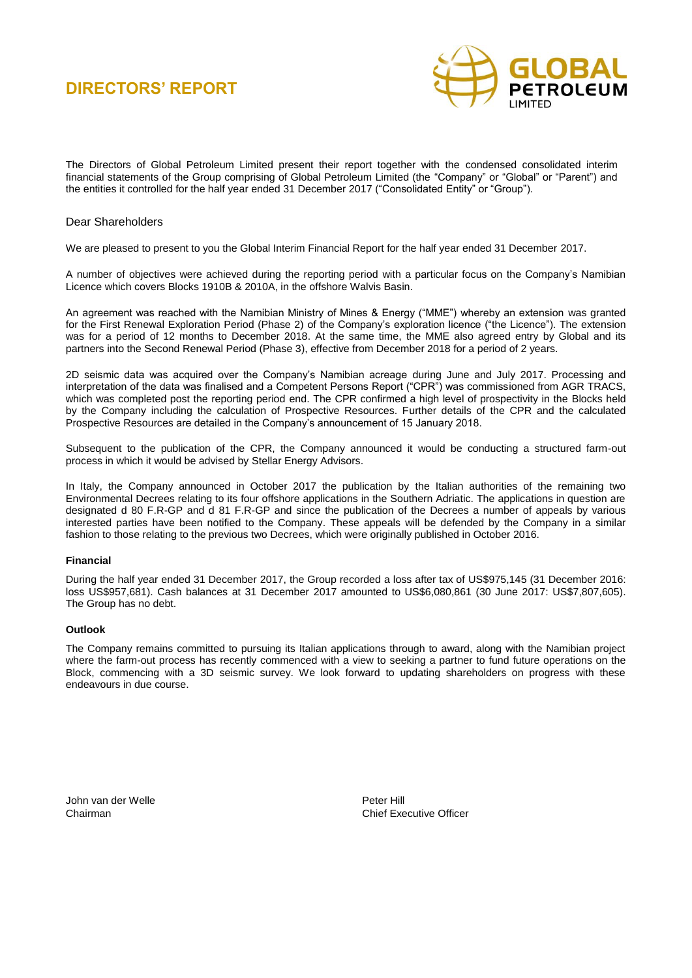

The Directors of Global Petroleum Limited present their report together with the condensed consolidated interim financial statements of the Group comprising of Global Petroleum Limited (the "Company" or "Global" or "Parent") and the entities it controlled for the half year ended 31 December 2017 ("Consolidated Entity" or "Group").

### Dear Shareholders

We are pleased to present to you the Global Interim Financial Report for the half year ended 31 December 2017.

A number of objectives were achieved during the reporting period with a particular focus on the Company's Namibian Licence which covers Blocks 1910B & 2010A, in the offshore Walvis Basin.

An agreement was reached with the Namibian Ministry of Mines & Energy ("MME") whereby an extension was granted for the First Renewal Exploration Period (Phase 2) of the Company's exploration licence ("the Licence"). The extension was for a period of 12 months to December 2018. At the same time, the MME also agreed entry by Global and its partners into the Second Renewal Period (Phase 3), effective from December 2018 for a period of 2 years.

2D seismic data was acquired over the Company's Namibian acreage during June and July 2017. Processing and interpretation of the data was finalised and a Competent Persons Report ("CPR") was commissioned from AGR TRACS, which was completed post the reporting period end. The CPR confirmed a high level of prospectivity in the Blocks held by the Company including the calculation of Prospective Resources. Further details of the CPR and the calculated Prospective Resources are detailed in the Company's announcement of 15 January 2018.

Subsequent to the publication of the CPR, the Company announced it would be conducting a structured farm-out process in which it would be advised by Stellar Energy Advisors.

In Italy, the Company announced in October 2017 the publication by the Italian authorities of the remaining two Environmental Decrees relating to its four offshore applications in the Southern Adriatic. The applications in question are designated d 80 F.R-GP and d 81 F.R-GP and since the publication of the Decrees a number of appeals by various interested parties have been notified to the Company. These appeals will be defended by the Company in a similar fashion to those relating to the previous two Decrees, which were originally published in October 2016.

#### **Financial**

During the half year ended 31 December 2017, the Group recorded a loss after tax of US\$975,145 (31 December 2016: loss US\$957,681). Cash balances at 31 December 2017 amounted to US\$6,080,861 (30 June 2017: US\$7,807,605). The Group has no debt.

#### **Outlook**

The Company remains committed to pursuing its Italian applications through to award, along with the Namibian project where the farm-out process has recently commenced with a view to seeking a partner to fund future operations on the Block, commencing with a 3D seismic survey. We look forward to updating shareholders on progress with these endeavours in due course.

John van der Welle **Peter Hill** 

Chairman Chief Executive Officer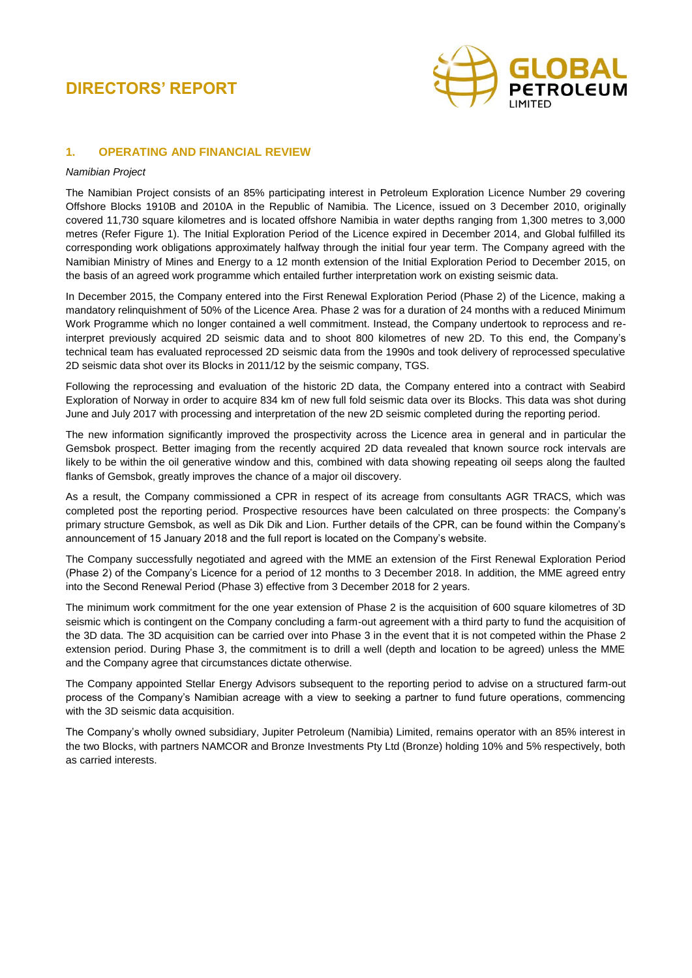

### **1. OPERATING AND FINANCIAL REVIEW**

#### *Namibian Project*

The Namibian Project consists of an 85% participating interest in Petroleum Exploration Licence Number 29 covering Offshore Blocks 1910B and 2010A in the Republic of Namibia. The Licence, issued on 3 December 2010, originally covered 11,730 square kilometres and is located offshore Namibia in water depths ranging from 1,300 metres to 3,000 metres (Refer Figure 1). The Initial Exploration Period of the Licence expired in December 2014, and Global fulfilled its corresponding work obligations approximately halfway through the initial four year term. The Company agreed with the Namibian Ministry of Mines and Energy to a 12 month extension of the Initial Exploration Period to December 2015, on the basis of an agreed work programme which entailed further interpretation work on existing seismic data.

In December 2015, the Company entered into the First Renewal Exploration Period (Phase 2) of the Licence, making a mandatory relinquishment of 50% of the Licence Area. Phase 2 was for a duration of 24 months with a reduced Minimum Work Programme which no longer contained a well commitment. Instead, the Company undertook to reprocess and reinterpret previously acquired 2D seismic data and to shoot 800 kilometres of new 2D. To this end, the Company's technical team has evaluated reprocessed 2D seismic data from the 1990s and took delivery of reprocessed speculative 2D seismic data shot over its Blocks in 2011/12 by the seismic company, TGS.

Following the reprocessing and evaluation of the historic 2D data, the Company entered into a contract with Seabird Exploration of Norway in order to acquire 834 km of new full fold seismic data over its Blocks. This data was shot during June and July 2017 with processing and interpretation of the new 2D seismic completed during the reporting period.

The new information significantly improved the prospectivity across the Licence area in general and in particular the Gemsbok prospect. Better imaging from the recently acquired 2D data revealed that known source rock intervals are likely to be within the oil generative window and this, combined with data showing repeating oil seeps along the faulted flanks of Gemsbok, greatly improves the chance of a major oil discovery.

As a result, the Company commissioned a CPR in respect of its acreage from consultants AGR TRACS, which was completed post the reporting period. Prospective resources have been calculated on three prospects: the Company's primary structure Gemsbok, as well as Dik Dik and Lion. Further details of the CPR, can be found within the Company's announcement of 15 January 2018 and the full report is located on the Company's website.

The Company successfully negotiated and agreed with the MME an extension of the First Renewal Exploration Period (Phase 2) of the Company's Licence for a period of 12 months to 3 December 2018. In addition, the MME agreed entry into the Second Renewal Period (Phase 3) effective from 3 December 2018 for 2 years.

The minimum work commitment for the one year extension of Phase 2 is the acquisition of 600 square kilometres of 3D seismic which is contingent on the Company concluding a farm-out agreement with a third party to fund the acquisition of the 3D data. The 3D acquisition can be carried over into Phase 3 in the event that it is not competed within the Phase 2 extension period. During Phase 3, the commitment is to drill a well (depth and location to be agreed) unless the MME and the Company agree that circumstances dictate otherwise.

The Company appointed Stellar Energy Advisors subsequent to the reporting period to advise on a structured farm-out process of the Company's Namibian acreage with a view to seeking a partner to fund future operations, commencing with the 3D seismic data acquisition.

The Company's wholly owned subsidiary, Jupiter Petroleum (Namibia) Limited, remains operator with an 85% interest in the two Blocks, with partners NAMCOR and Bronze Investments Pty Ltd (Bronze) holding 10% and 5% respectively, both as carried interests.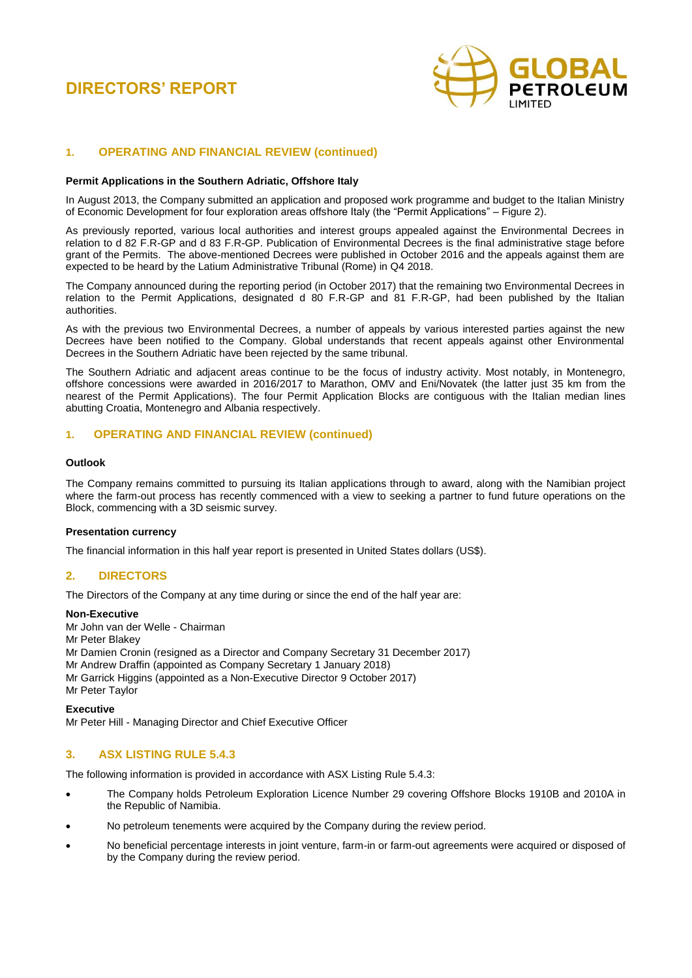

### **1. OPERATING AND FINANCIAL REVIEW (continued)**

#### **Permit Applications in the Southern Adriatic, Offshore Italy**

In August 2013, the Company submitted an application and proposed work programme and budget to the Italian Ministry of Economic Development for four exploration areas offshore Italy (the "Permit Applications" – Figure 2).

As previously reported, various local authorities and interest groups appealed against the Environmental Decrees in relation to d 82 F.R-GP and d 83 F.R-GP. Publication of Environmental Decrees is the final administrative stage before grant of the Permits. The above-mentioned Decrees were published in October 2016 and the appeals against them are expected to be heard by the Latium Administrative Tribunal (Rome) in Q4 2018.

The Company announced during the reporting period (in October 2017) that the remaining two Environmental Decrees in relation to the Permit Applications, designated d 80 F.R-GP and 81 F.R-GP, had been published by the Italian authorities.

As with the previous two Environmental Decrees, a number of appeals by various interested parties against the new Decrees have been notified to the Company. Global understands that recent appeals against other Environmental Decrees in the Southern Adriatic have been rejected by the same tribunal.

The Southern Adriatic and adjacent areas continue to be the focus of industry activity. Most notably, in Montenegro, offshore concessions were awarded in 2016/2017 to Marathon, OMV and Eni/Novatek (the latter just 35 km from the nearest of the Permit Applications). The four Permit Application Blocks are contiguous with the Italian median lines abutting Croatia, Montenegro and Albania respectively.

### **1. OPERATING AND FINANCIAL REVIEW (continued)**

#### **Outlook**

The Company remains committed to pursuing its Italian applications through to award, along with the Namibian project where the farm-out process has recently commenced with a view to seeking a partner to fund future operations on the Block, commencing with a 3D seismic survey.

#### **Presentation currency**

The financial information in this half year report is presented in United States dollars (US\$).

### **2. DIRECTORS**

The Directors of the Company at any time during or since the end of the half year are:

#### **Non-Executive**

Mr John van der Welle - Chairman Mr Peter Blakey Mr Damien Cronin (resigned as a Director and Company Secretary 31 December 2017) Mr Andrew Draffin (appointed as Company Secretary 1 January 2018) Mr Garrick Higgins (appointed as a Non-Executive Director 9 October 2017) Mr Peter Taylor

**Executive**

Mr Peter Hill - Managing Director and Chief Executive Officer

### **3. ASX LISTING RULE 5.4.3**

The following information is provided in accordance with ASX Listing Rule 5.4.3:

- The Company holds Petroleum Exploration Licence Number 29 covering Offshore Blocks 1910B and 2010A in the Republic of Namibia.
- No petroleum tenements were acquired by the Company during the review period.
- No beneficial percentage interests in joint venture, farm-in or farm-out agreements were acquired or disposed of by the Company during the review period.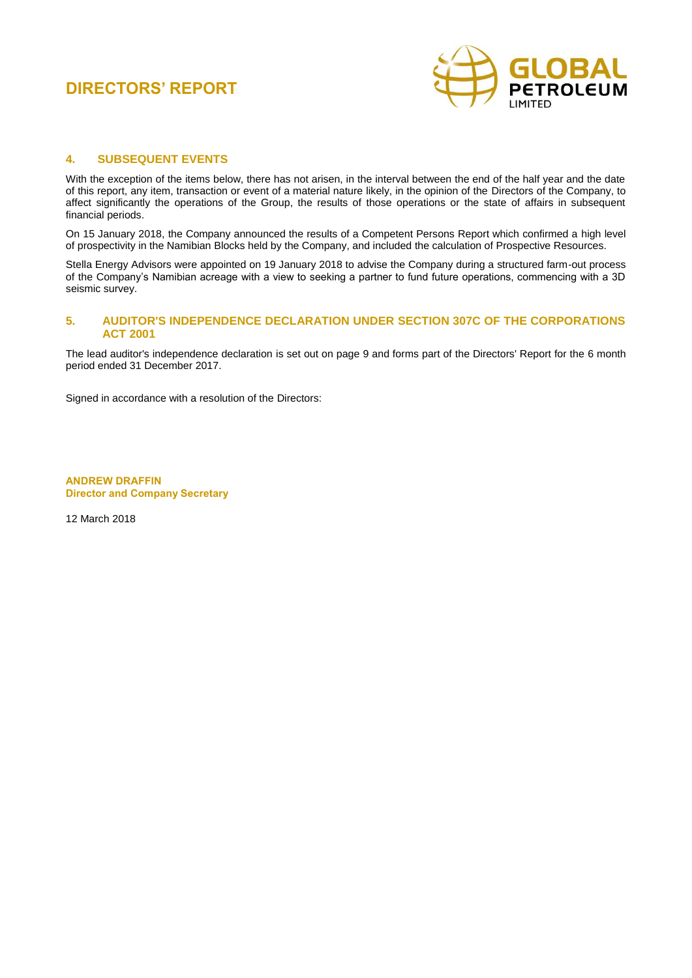

### **4. SUBSEQUENT EVENTS**

With the exception of the items below, there has not arisen, in the interval between the end of the half year and the date of this report, any item, transaction or event of a material nature likely, in the opinion of the Directors of the Company, to affect significantly the operations of the Group, the results of those operations or the state of affairs in subsequent financial periods.

On 15 January 2018, the Company announced the results of a Competent Persons Report which confirmed a high level of prospectivity in the Namibian Blocks held by the Company, and included the calculation of Prospective Resources.

Stella Energy Advisors were appointed on 19 January 2018 to advise the Company during a structured farm-out process of the Company's Namibian acreage with a view to seeking a partner to fund future operations, commencing with a 3D seismic survey.

### **5. AUDITOR'S INDEPENDENCE DECLARATION UNDER SECTION 307C OF THE CORPORATIONS ACT 2001**

The lead auditor's independence declaration is set out on page 9 and forms part of the Directors' Report for the 6 month period ended 31 December 2017.

Signed in accordance with a resolution of the Directors:

**ANDREW DRAFFIN Director and Company Secretary**

12 March 2018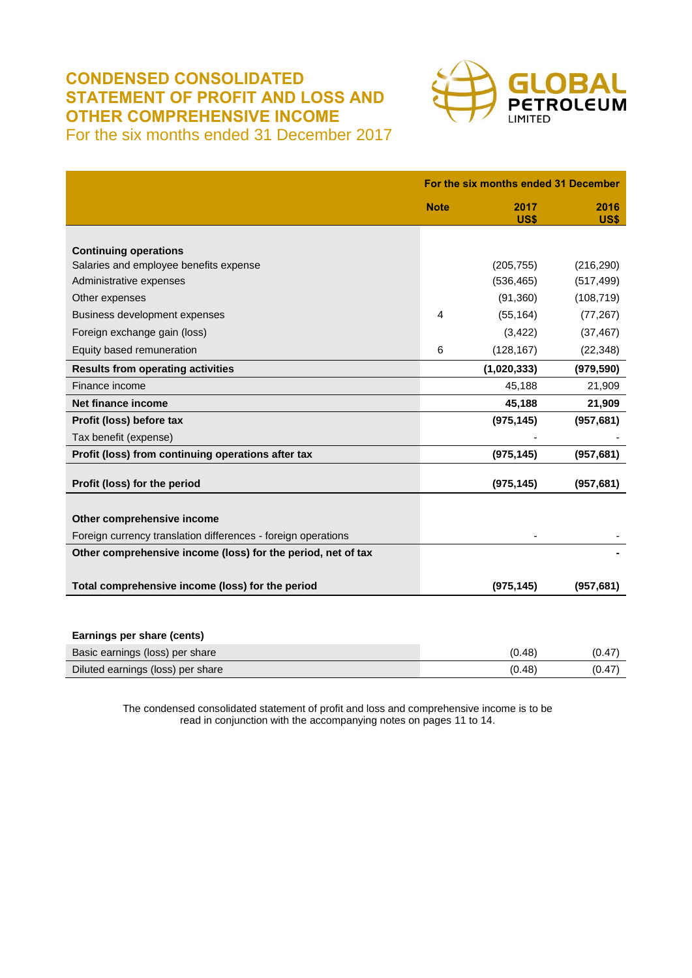# **CONDENSED CONSOLIDATED STATEMENT OF PROFIT AND LOSS AND OTHER COMPREHENSIVE INCOME**



For the six months ended 31 December 2017

|                                                               |             | For the six months ended 31 December |              |  |
|---------------------------------------------------------------|-------------|--------------------------------------|--------------|--|
|                                                               | <b>Note</b> | 2017<br>US\$                         | 2016<br>US\$ |  |
|                                                               |             |                                      |              |  |
| <b>Continuing operations</b>                                  |             |                                      |              |  |
| Salaries and employee benefits expense                        |             | (205, 755)                           | (216, 290)   |  |
| Administrative expenses                                       |             | (536, 465)                           | (517, 499)   |  |
| Other expenses                                                |             | (91, 360)                            | (108, 719)   |  |
| Business development expenses                                 | 4           | (55, 164)                            | (77, 267)    |  |
| Foreign exchange gain (loss)                                  |             | (3, 422)                             | (37, 467)    |  |
| Equity based remuneration                                     | 6           | (128, 167)                           | (22, 348)    |  |
| <b>Results from operating activities</b>                      |             | (1,020,333)                          | (979, 590)   |  |
| Finance income                                                |             | 45,188                               | 21,909       |  |
| Net finance income                                            |             | 45,188                               | 21,909       |  |
| Profit (loss) before tax                                      |             | (975, 145)                           | (957, 681)   |  |
| Tax benefit (expense)                                         |             |                                      |              |  |
| Profit (loss) from continuing operations after tax            |             | (975, 145)                           | (957, 681)   |  |
| Profit (loss) for the period                                  |             | (975, 145)                           | (957, 681)   |  |
|                                                               |             |                                      |              |  |
| Other comprehensive income                                    |             |                                      |              |  |
| Foreign currency translation differences - foreign operations |             |                                      |              |  |
| Other comprehensive income (loss) for the period, net of tax  |             |                                      |              |  |
| Total comprehensive income (loss) for the period              |             | (975, 145)                           | (957, 681)   |  |
|                                                               |             |                                      |              |  |

| Earnings per share (cents)        |        |        |
|-----------------------------------|--------|--------|
| Basic earnings (loss) per share   | (0.48) | (0.47) |
| Diluted earnings (loss) per share | (0.48) | (0.47) |

The condensed consolidated statement of profit and loss and comprehensive income is to be read in conjunction with the accompanying notes on pages 11 to 14.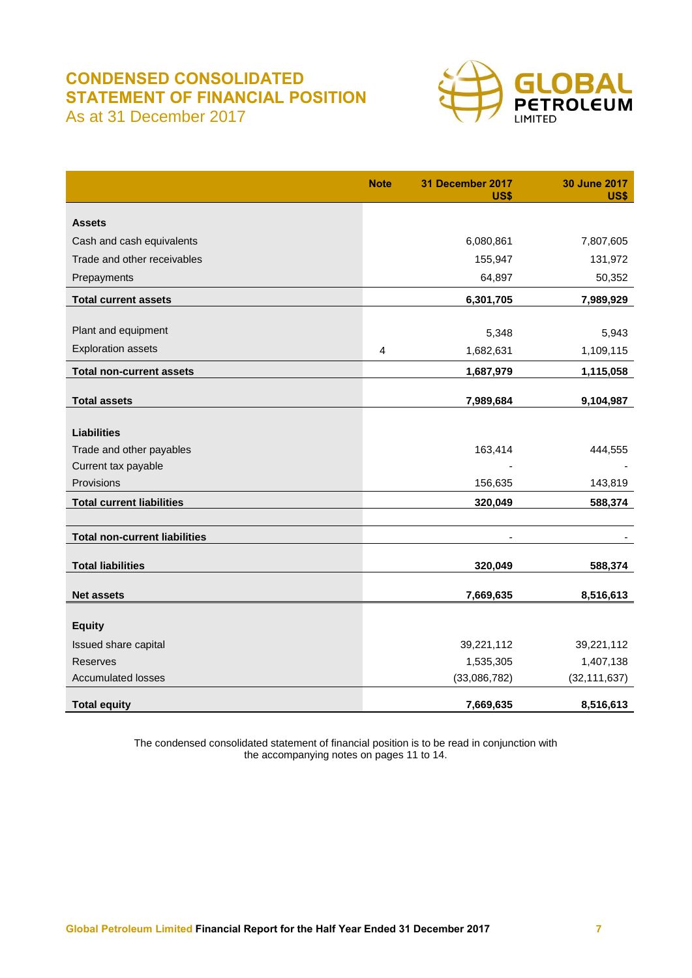## **CONDENSED CONSOLIDATED STATEMENT OF FINANCIAL POSITION** As at 31 December 2017



|                                      | <b>Note</b> | 31 December 2017<br><b>US\$</b> | <b>30 June 2017</b><br>US\$ |
|--------------------------------------|-------------|---------------------------------|-----------------------------|
| <b>Assets</b>                        |             |                                 |                             |
| Cash and cash equivalents            |             | 6,080,861                       | 7,807,605                   |
| Trade and other receivables          |             | 155,947                         | 131,972                     |
| Prepayments                          |             | 64,897                          | 50,352                      |
| <b>Total current assets</b>          |             | 6,301,705                       | 7,989,929                   |
|                                      |             |                                 |                             |
| Plant and equipment                  |             | 5,348                           | 5,943                       |
| <b>Exploration assets</b>            | 4           | 1,682,631                       | 1,109,115                   |
| <b>Total non-current assets</b>      |             | 1,687,979                       | 1,115,058                   |
|                                      |             |                                 |                             |
| <b>Total assets</b>                  |             | 7,989,684                       | 9,104,987                   |
| <b>Liabilities</b>                   |             |                                 |                             |
| Trade and other payables             |             | 163,414                         | 444,555                     |
| Current tax payable                  |             |                                 |                             |
| Provisions                           |             | 156,635                         | 143,819                     |
| <b>Total current liabilities</b>     |             | 320,049                         | 588,374                     |
|                                      |             |                                 |                             |
| <b>Total non-current liabilities</b> |             |                                 |                             |
| <b>Total liabilities</b>             |             | 320,049                         | 588,374                     |
|                                      |             |                                 |                             |
| <b>Net assets</b>                    |             | 7,669,635                       | 8,516,613                   |
| <b>Equity</b>                        |             |                                 |                             |
| Issued share capital                 |             | 39,221,112                      | 39,221,112                  |
| <b>Reserves</b>                      |             | 1,535,305                       | 1,407,138                   |
| <b>Accumulated losses</b>            |             | (33,086,782)                    | (32, 111, 637)              |
|                                      |             |                                 |                             |
| <b>Total equity</b>                  |             | 7,669,635                       | 8,516,613                   |

The condensed consolidated statement of financial position is to be read in conjunction with the accompanying notes on pages 11 to 14.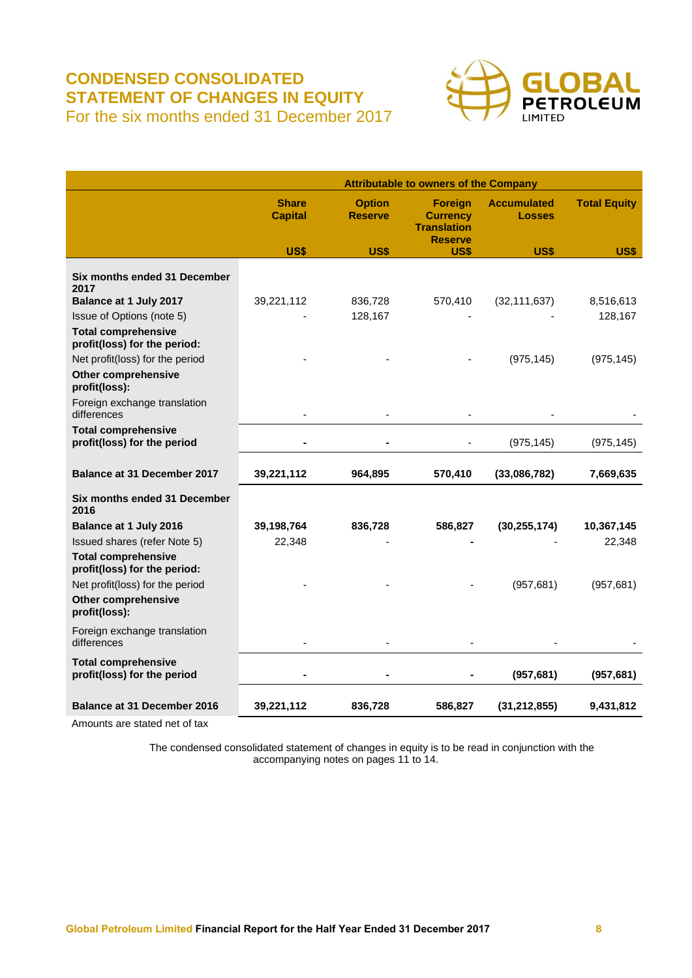# **CONDENSED CONSOLIDATED STATEMENT OF CHANGES IN EQUITY** For the six months ended 31 December 2017



|                                                                                | <b>Attributable to owners of the Company</b> |                                 |                                                                           |                                     |                     |
|--------------------------------------------------------------------------------|----------------------------------------------|---------------------------------|---------------------------------------------------------------------------|-------------------------------------|---------------------|
|                                                                                | <b>Share</b><br><b>Capital</b>               | <b>Option</b><br><b>Reserve</b> | <b>Foreign</b><br><b>Currency</b><br><b>Translation</b><br><b>Reserve</b> | <b>Accumulated</b><br><b>Losses</b> | <b>Total Equity</b> |
|                                                                                | US\$                                         | <b>US\$</b>                     | <b>US\$</b>                                                               | <b>US\$</b>                         | <b>US\$</b>         |
| Six months ended 31 December<br>2017<br>Balance at 1 July 2017                 | 39,221,112                                   | 836,728                         | 570,410                                                                   | (32, 111, 637)                      | 8,516,613           |
| Issue of Options (note 5)                                                      |                                              | 128,167                         |                                                                           |                                     | 128,167             |
| <b>Total comprehensive</b><br>profit(loss) for the period:                     |                                              |                                 |                                                                           |                                     |                     |
| Net profit(loss) for the period<br><b>Other comprehensive</b><br>profit(loss): |                                              |                                 |                                                                           | (975, 145)                          | (975, 145)          |
| Foreign exchange translation<br>differences                                    |                                              |                                 |                                                                           |                                     |                     |
| <b>Total comprehensive</b><br>profit(loss) for the period                      |                                              |                                 |                                                                           | (975, 145)                          | (975, 145)          |
| <b>Balance at 31 December 2017</b>                                             | 39,221,112                                   | 964,895                         | 570,410                                                                   | (33,086,782)                        | 7,669,635           |
| Six months ended 31 December<br>2016                                           |                                              |                                 |                                                                           |                                     |                     |
| Balance at 1 July 2016                                                         | 39,198,764                                   | 836,728                         | 586,827                                                                   | (30, 255, 174)                      | 10,367,145          |
| Issued shares (refer Note 5)                                                   | 22,348                                       |                                 |                                                                           |                                     | 22,348              |
| <b>Total comprehensive</b><br>profit(loss) for the period:                     |                                              |                                 |                                                                           |                                     |                     |
| Net profit(loss) for the period                                                |                                              |                                 |                                                                           | (957, 681)                          | (957, 681)          |
| <b>Other comprehensive</b><br>profit(loss):                                    |                                              |                                 |                                                                           |                                     |                     |
| Foreign exchange translation<br>differences                                    |                                              |                                 |                                                                           |                                     |                     |
| <b>Total comprehensive</b><br>profit(loss) for the period                      |                                              |                                 |                                                                           | (957, 681)                          | (957, 681)          |
| <b>Balance at 31 December 2016</b>                                             | 39,221,112                                   | 836,728                         | 586,827                                                                   | (31, 212, 855)                      | 9,431,812           |

Amounts are stated net of tax

The condensed consolidated statement of changes in equity is to be read in conjunction with the accompanying notes on pages 11 to 14.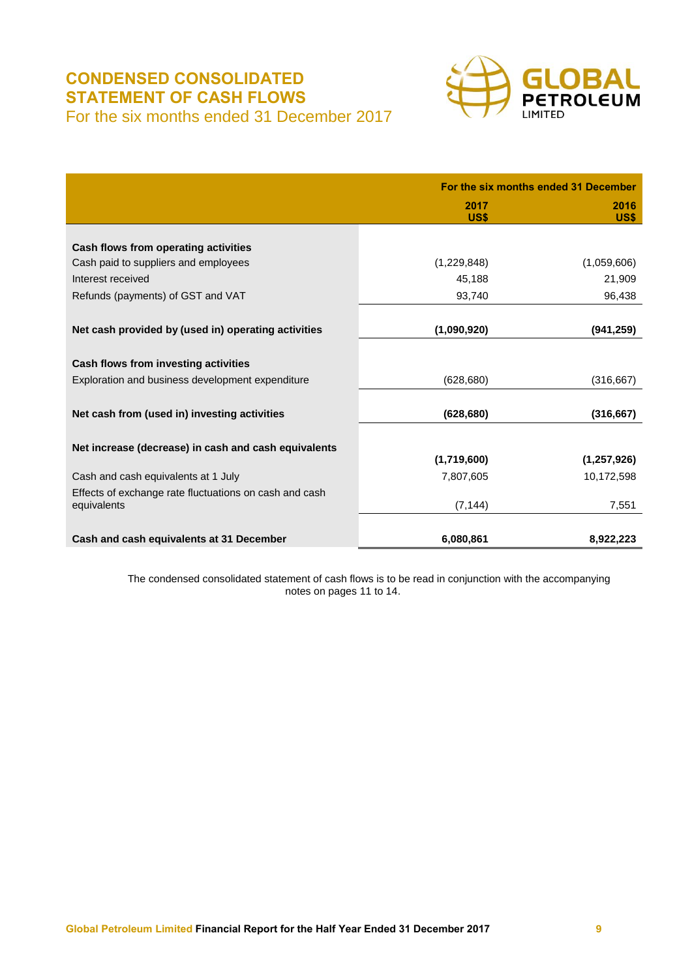# **CONDENSED CONSOLIDATED STATEMENT OF CASH FLOWS** For the six months ended 31 December 2017



|                                                        | For the six months ended 31 December |              |  |
|--------------------------------------------------------|--------------------------------------|--------------|--|
|                                                        | 2017<br>US\$                         | 2016<br>US\$ |  |
|                                                        |                                      |              |  |
| Cash flows from operating activities                   |                                      |              |  |
| Cash paid to suppliers and employees                   | (1,229,848)                          | (1,059,606)  |  |
| Interest received                                      | 45,188                               | 21,909       |  |
| Refunds (payments) of GST and VAT                      | 93,740                               | 96,438       |  |
|                                                        |                                      |              |  |
| Net cash provided by (used in) operating activities    | (1,090,920)                          | (941, 259)   |  |
|                                                        |                                      |              |  |
| Cash flows from investing activities                   |                                      |              |  |
| Exploration and business development expenditure       | (628, 680)                           | (316, 667)   |  |
|                                                        |                                      |              |  |
| Net cash from (used in) investing activities           | (628, 680)                           | (316, 667)   |  |
|                                                        |                                      |              |  |
| Net increase (decrease) in cash and cash equivalents   |                                      |              |  |
|                                                        | (1,719,600)                          | (1,257,926)  |  |
| Cash and cash equivalents at 1 July                    | 7,807,605                            | 10,172,598   |  |
| Effects of exchange rate fluctuations on cash and cash |                                      |              |  |
| equivalents                                            | (7, 144)                             | 7,551        |  |
|                                                        |                                      |              |  |
| Cash and cash equivalents at 31 December               | 6,080,861                            | 8,922,223    |  |

The condensed consolidated statement of cash flows is to be read in conjunction with the accompanying notes on pages 11 to 14.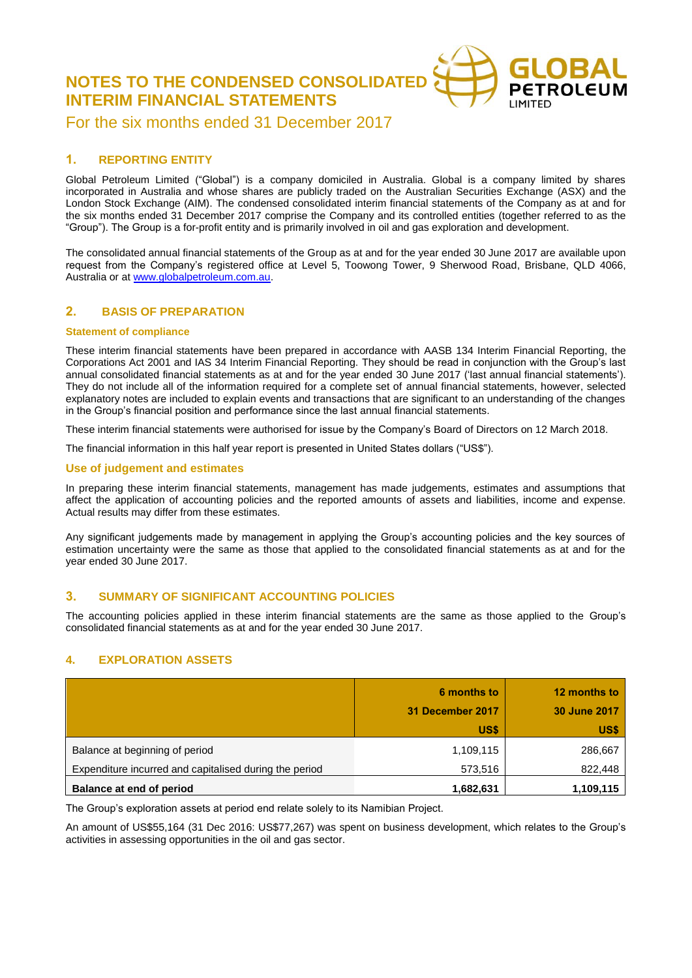**NOTES TO THE CONDENSED CONSOLIDATED INTERIM FINANCIAL STATEMENTS**



For the six months ended 31 December 2017

## **1. REPORTING ENTITY**

Global Petroleum Limited ("Global") is a company domiciled in Australia. Global is a company limited by shares incorporated in Australia and whose shares are publicly traded on the Australian Securities Exchange (ASX) and the London Stock Exchange (AIM). The condensed consolidated interim financial statements of the Company as at and for the six months ended 31 December 2017 comprise the Company and its controlled entities (together referred to as the "Group"). The Group is a for-profit entity and is primarily involved in oil and gas exploration and development.

The consolidated annual financial statements of the Group as at and for the year ended 30 June 2017 are available upon request from the Company's registered office at Level 5, Toowong Tower, 9 Sherwood Road, Brisbane, QLD 4066, Australia or a[t www.globalpetroleum.com.au.](http://www.globalpetroleum.com.au/)

## **2. BASIS OF PREPARATION**

### **Statement of compliance**

These interim financial statements have been prepared in accordance with AASB 134 Interim Financial Reporting, the Corporations Act 2001 and IAS 34 Interim Financial Reporting. They should be read in conjunction with the Group's last annual consolidated financial statements as at and for the year ended 30 June 2017 ('last annual financial statements'). They do not include all of the information required for a complete set of annual financial statements, however, selected explanatory notes are included to explain events and transactions that are significant to an understanding of the changes in the Group's financial position and performance since the last annual financial statements.

These interim financial statements were authorised for issue by the Company's Board of Directors on 12 March 2018.

The financial information in this half year report is presented in United States dollars ("US\$").

### **Use of judgement and estimates**

In preparing these interim financial statements, management has made judgements, estimates and assumptions that affect the application of accounting policies and the reported amounts of assets and liabilities, income and expense. Actual results may differ from these estimates.

Any significant judgements made by management in applying the Group's accounting policies and the key sources of estimation uncertainty were the same as those that applied to the consolidated financial statements as at and for the year ended 30 June 2017.

## **3. SUMMARY OF SIGNIFICANT ACCOUNTING POLICIES**

The accounting policies applied in these interim financial statements are the same as those applied to the Group's consolidated financial statements as at and for the year ended 30 June 2017.

## **4. EXPLORATION ASSETS**

|                                                                                          | 6 months to<br>31 December 2017<br>US\$ | 12 months to<br>30 June 2017<br>US\$ |
|------------------------------------------------------------------------------------------|-----------------------------------------|--------------------------------------|
| Balance at beginning of period<br>Expenditure incurred and capitalised during the period | 1,109,115<br>573,516                    | 286,667<br>822,448                   |
| Balance at end of period                                                                 | 1,682,631                               | 1,109,115                            |

The Group's exploration assets at period end relate solely to its Namibian Project.

An amount of US\$55,164 (31 Dec 2016: US\$77,267) was spent on business development, which relates to the Group's activities in assessing opportunities in the oil and gas sector.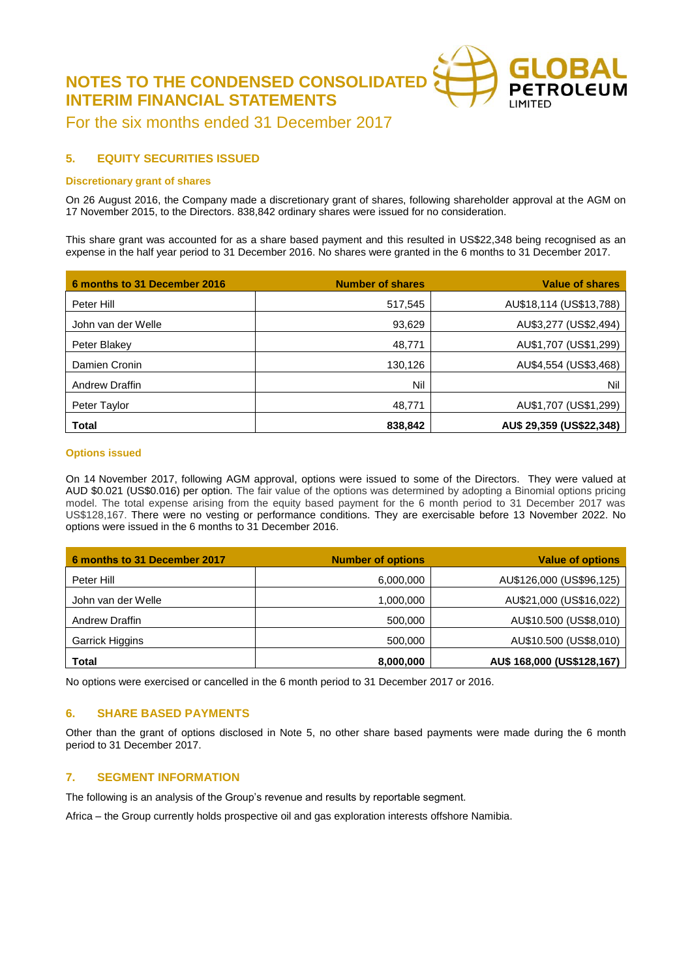**NOTES TO THE CONDENSED CONSOLIDATE INTERIM FINANCIAL STATEMENTS**



For the six months ended 31 December 2017

## **5. EQUITY SECURITIES ISSUED**

### **Discretionary grant of shares**

On 26 August 2016, the Company made a discretionary grant of shares, following shareholder approval at the AGM on 17 November 2015, to the Directors. 838,842 ordinary shares were issued for no consideration.

This share grant was accounted for as a share based payment and this resulted in US\$22,348 being recognised as an expense in the half year period to 31 December 2016. No shares were granted in the 6 months to 31 December 2017.

| 6 months to 31 December 2016 | <b>Number of shares</b> | <b>Value of shares</b>   |
|------------------------------|-------------------------|--------------------------|
| Peter Hill                   | 517,545                 | AU\$18,114 (US\$13,788)  |
| John van der Welle           | 93,629                  | AU\$3,277 (US\$2,494)    |
| Peter Blakey                 | 48,771                  | AU\$1,707 (US\$1,299)    |
| Damien Cronin                | 130,126                 | AU\$4,554 (US\$3,468)    |
| Andrew Draffin               | Nil                     | Nil                      |
| Peter Taylor                 | 48,771                  | AU\$1,707 (US\$1,299)    |
| <b>Total</b>                 | 838,842                 | AU\$ 29,359 (US\$22,348) |

### **Options issued**

On 14 November 2017, following AGM approval, options were issued to some of the Directors. They were valued at AUD \$0.021 (US\$0.016) per option. The fair value of the options was determined by adopting a Binomial options pricing model. The total expense arising from the equity based payment for the 6 month period to 31 December 2017 was US\$128,167. There were no vesting or performance conditions. They are exercisable before 13 November 2022. No options were issued in the 6 months to 31 December 2016.

| 6 months to 31 December 2017 | <b>Number of options</b> | <b>Value of options</b>    |
|------------------------------|--------------------------|----------------------------|
| Peter Hill                   | 6,000,000                | AU\$126,000 (US\$96,125)   |
| John van der Welle           | 1,000,000                | AU\$21,000 (US\$16,022)    |
| <b>Andrew Draffin</b>        | 500,000                  | AU\$10.500 (US\$8,010)     |
| Garrick Higgins              | 500,000                  | AU\$10.500 (US\$8,010)     |
| Total                        | 8,000,000                | AU\$ 168,000 (US\$128,167) |

No options were exercised or cancelled in the 6 month period to 31 December 2017 or 2016.

## **6. SHARE BASED PAYMENTS**

Other than the grant of options disclosed in Note 5, no other share based payments were made during the 6 month period to 31 December 2017.

## **7. SEGMENT INFORMATION**

The following is an analysis of the Group's revenue and results by reportable segment.

Africa – the Group currently holds prospective oil and gas exploration interests offshore Namibia.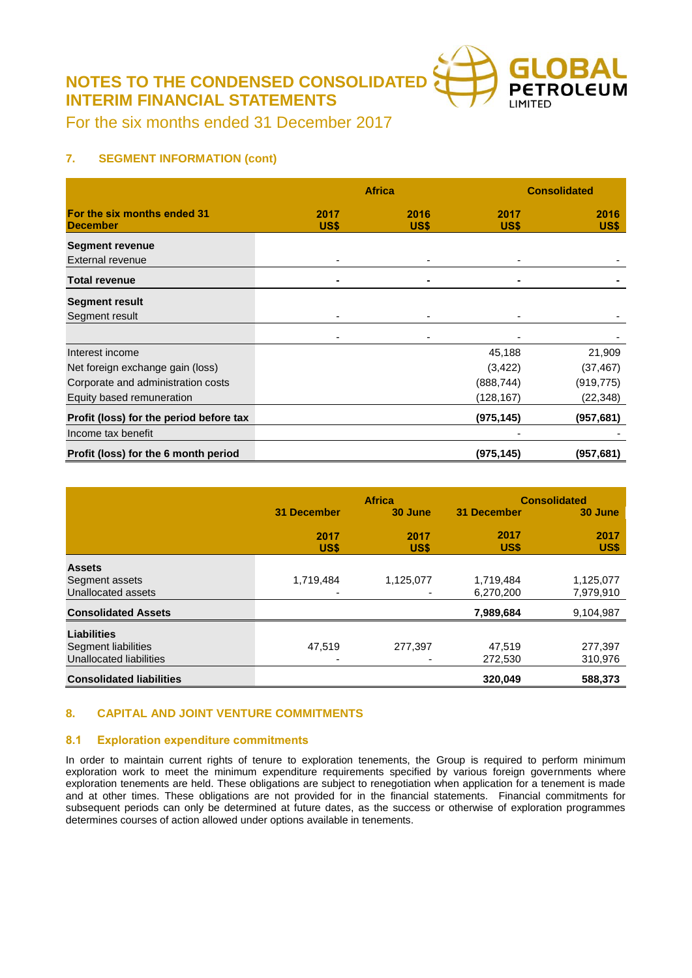**NOTES TO THE CONDENSED CONSOLIDATED INTERIM FINANCIAL STATEMENTS**



For the six months ended 31 December 2017

## **7. SEGMENT INFORMATION (cont)**

|                                                |              | <b>Africa</b> |              | <b>Consolidated</b> |  |
|------------------------------------------------|--------------|---------------|--------------|---------------------|--|
| For the six months ended 31<br><b>December</b> | 2017<br>US\$ | 2016<br>US\$  | 2017<br>US\$ | 2016<br>US\$        |  |
| <b>Segment revenue</b>                         |              |               |              |                     |  |
| External revenue                               |              |               |              |                     |  |
| <b>Total revenue</b>                           | ۰            | ۰             | ۰            |                     |  |
| <b>Segment result</b>                          |              |               |              |                     |  |
| Segment result                                 | ٠            |               |              |                     |  |
|                                                | ٠            |               |              |                     |  |
| Interest income                                |              |               | 45,188       | 21,909              |  |
| Net foreign exchange gain (loss)               |              |               | (3, 422)     | (37, 467)           |  |
| Corporate and administration costs             |              |               | (888, 744)   | (919, 775)          |  |
| Equity based remuneration                      |              |               | (128, 167)   | (22, 348)           |  |
| Profit (loss) for the period before tax        |              |               | (975, 145)   | (957,681)           |  |
| Income tax benefit                             |              |               |              |                     |  |
| Profit (loss) for the 6 month period           |              |               | (975, 145)   | (957, 681)          |  |

|                                 |                    | <b>Africa</b> | <b>Consolidated</b> |              |  |
|---------------------------------|--------------------|---------------|---------------------|--------------|--|
|                                 | <b>31 December</b> | 30 June       | <b>31 December</b>  | 30 June      |  |
|                                 | 2017<br>US\$       | 2017<br>US\$  | 2017<br>US\$        | 2017<br>US\$ |  |
| <b>Assets</b>                   |                    |               |                     |              |  |
| Segment assets                  | 1,719,484          | 1,125,077     | 1,719,484           | 1,125,077    |  |
| Unallocated assets              |                    |               | 6,270,200           | 7,979,910    |  |
| <b>Consolidated Assets</b>      |                    |               | 7,989,684           | 9,104,987    |  |
| <b>Liabilities</b>              |                    |               |                     |              |  |
| Segment liabilities             | 47,519             | 277,397       | 47.519              | 277,397      |  |
| Unallocated liabilities         | -                  |               | 272,530             | 310,976      |  |
| <b>Consolidated liabilities</b> |                    |               | 320,049             | 588,373      |  |

## **8. CAPITAL AND JOINT VENTURE COMMITMENTS**

## **8.1 Exploration expenditure commitments**

In order to maintain current rights of tenure to exploration tenements, the Group is required to perform minimum exploration work to meet the minimum expenditure requirements specified by various foreign governments where exploration tenements are held. These obligations are subject to renegotiation when application for a tenement is made and at other times. These obligations are not provided for in the financial statements. Financial commitments for subsequent periods can only be determined at future dates, as the success or otherwise of exploration programmes determines courses of action allowed under options available in tenements.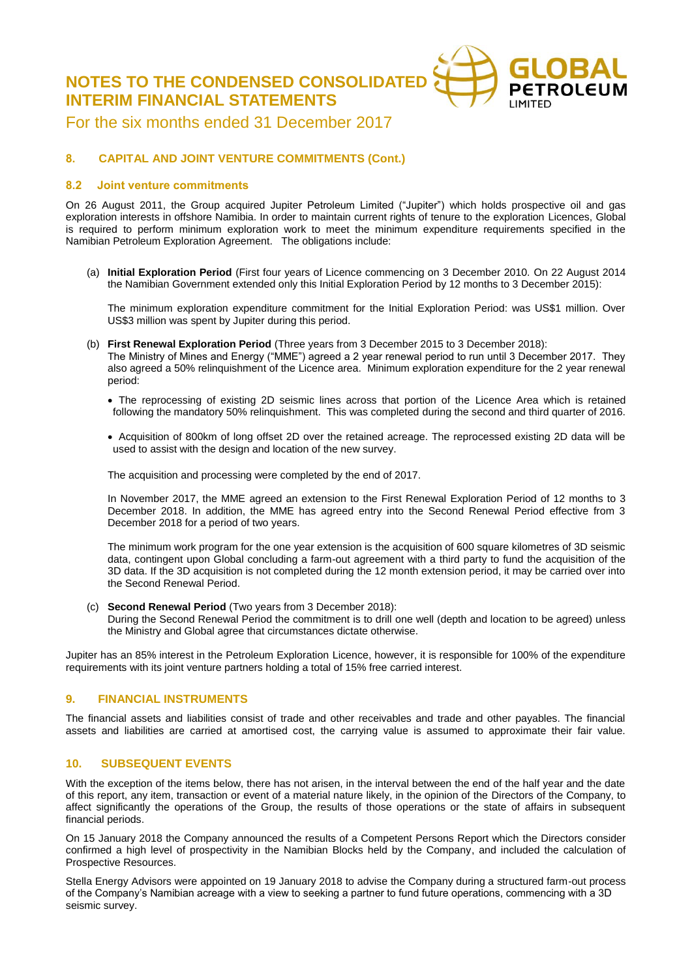**NOTES TO THE CONDENSED CONSOLIDATED INTERIM FINANCIAL STATEMENTS**



For the six months ended 31 December 2017

## **8. CAPITAL AND JOINT VENTURE COMMITMENTS (Cont.)**

### **8.2 Joint venture commitments**

On 26 August 2011, the Group acquired Jupiter Petroleum Limited ("Jupiter") which holds prospective oil and gas exploration interests in offshore Namibia. In order to maintain current rights of tenure to the exploration Licences, Global is required to perform minimum exploration work to meet the minimum expenditure requirements specified in the Namibian Petroleum Exploration Agreement. The obligations include:

(a) **Initial Exploration Period** (First four years of Licence commencing on 3 December 2010. On 22 August 2014 the Namibian Government extended only this Initial Exploration Period by 12 months to 3 December 2015):

The minimum exploration expenditure commitment for the Initial Exploration Period: was US\$1 million. Over US\$3 million was spent by Jupiter during this period.

- (b) **First Renewal Exploration Period** (Three years from 3 December 2015 to 3 December 2018): The Ministry of Mines and Energy ("MME") agreed a 2 year renewal period to run until 3 December 2017. They
	- also agreed a 50% relinquishment of the Licence area. Minimum exploration expenditure for the 2 year renewal period:
	- The reprocessing of existing 2D seismic lines across that portion of the Licence Area which is retained following the mandatory 50% relinquishment. This was completed during the second and third quarter of 2016.
	- Acquisition of 800km of long offset 2D over the retained acreage. The reprocessed existing 2D data will be used to assist with the design and location of the new survey.

The acquisition and processing were completed by the end of 2017.

In November 2017, the MME agreed an extension to the First Renewal Exploration Period of 12 months to 3 December 2018. In addition, the MME has agreed entry into the Second Renewal Period effective from 3 December 2018 for a period of two years.

The minimum work program for the one year extension is the acquisition of 600 square kilometres of 3D seismic data, contingent upon Global concluding a farm-out agreement with a third party to fund the acquisition of the 3D data. If the 3D acquisition is not completed during the 12 month extension period, it may be carried over into the Second Renewal Period.

(c) **Second Renewal Period** (Two years from 3 December 2018): During the Second Renewal Period the commitment is to drill one well (depth and location to be agreed) unless the Ministry and Global agree that circumstances dictate otherwise.

Jupiter has an 85% interest in the Petroleum Exploration Licence, however, it is responsible for 100% of the expenditure requirements with its joint venture partners holding a total of 15% free carried interest.

### **9. FINANCIAL INSTRUMENTS**

The financial assets and liabilities consist of trade and other receivables and trade and other payables. The financial assets and liabilities are carried at amortised cost, the carrying value is assumed to approximate their fair value.

### **10. SUBSEQUENT EVENTS**

With the exception of the items below, there has not arisen, in the interval between the end of the half year and the date of this report, any item, transaction or event of a material nature likely, in the opinion of the Directors of the Company, to affect significantly the operations of the Group, the results of those operations or the state of affairs in subsequent financial periods.

On 15 January 2018 the Company announced the results of a Competent Persons Report which the Directors consider confirmed a high level of prospectivity in the Namibian Blocks held by the Company, and included the calculation of Prospective Resources.

Stella Energy Advisors were appointed on 19 January 2018 to advise the Company during a structured farm-out process of the Company's Namibian acreage with a view to seeking a partner to fund future operations, commencing with a 3D seismic survey.